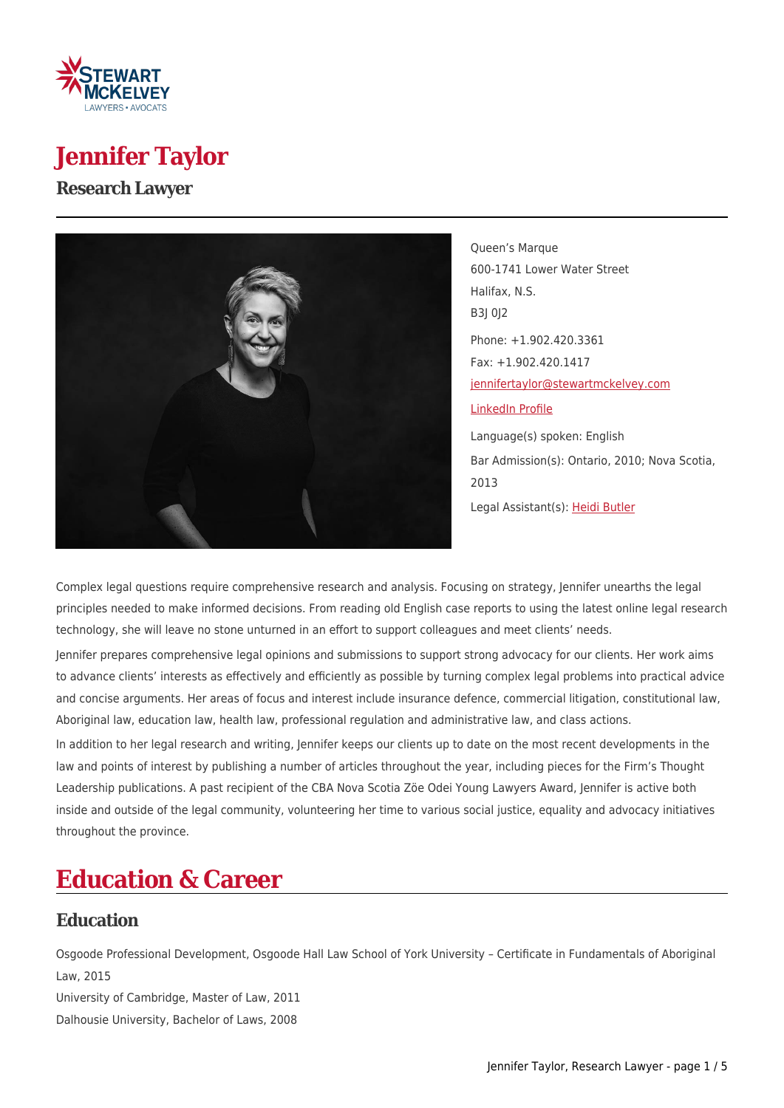

## **Jennifer Taylor**

#### **Research Lawyer**



Queen's Marque 600-1741 Lower Water Street Halifax, N.S. B3J 0J2 Phone: +1.902.420.3361 Fax: +1.902.420.1417 [jennifertaylor@stewartmckelvey.com](mailto:jennifertaylor@stewartmckelvey.com) [LinkedIn Profile](https://ca.linkedin.com/pub/jennifer-taylor/60/691/720) Language(s) spoken: English Bar Admission(s): Ontario, 2010; Nova Scotia, 2013 Legal Assistant(s): [Heidi Butler](https://www.stewartmckelvey.com/legal_assistant/butler-heidi)

Complex legal questions require comprehensive research and analysis. Focusing on strategy, Jennifer unearths the legal principles needed to make informed decisions. From reading old English case reports to using the latest online legal research technology, she will leave no stone unturned in an effort to support colleagues and meet clients' needs.

Jennifer prepares comprehensive legal opinions and submissions to support strong advocacy for our clients. Her work aims to advance clients' interests as effectively and efficiently as possible by turning complex legal problems into practical advice and concise arguments. Her areas of focus and interest include insurance defence, commercial litigation, constitutional law, Aboriginal law, education law, health law, professional regulation and administrative law, and class actions.

In addition to her legal research and writing, Jennifer keeps our clients up to date on the most recent developments in the law and points of interest by publishing a number of articles throughout the year, including pieces for the Firm's Thought Leadership publications. A past recipient of the CBA Nova Scotia Zöe Odei Young Lawyers Award, Jennifer is active both inside and outside of the legal community, volunteering her time to various social justice, equality and advocacy initiatives throughout the province.

# **Education & Career**

### **Education**

Osgoode Professional Development, Osgoode Hall Law School of York University – Certificate in Fundamentals of Aboriginal Law, 2015 University of Cambridge, Master of Law, 2011 Dalhousie University, Bachelor of Laws, 2008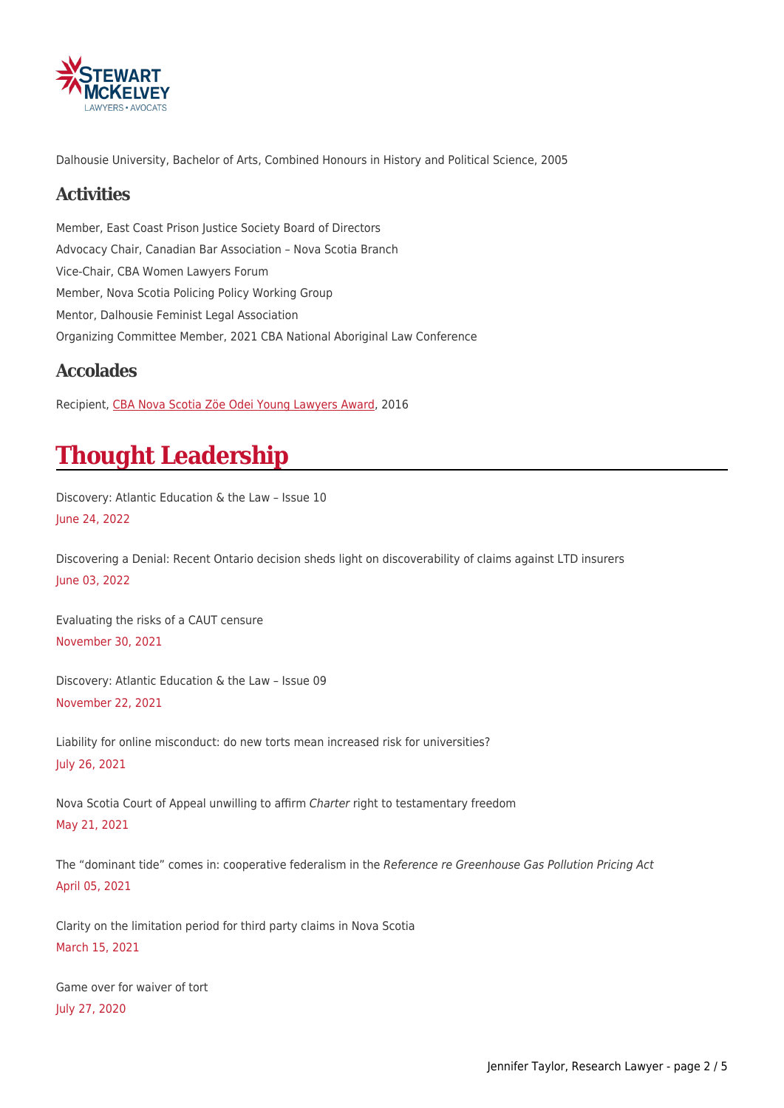

Dalhousie University, Bachelor of Arts, Combined Honours in History and Political Science, 2005

### **Activities**

Member, East Coast Prison Justice Society Board of Directors Advocacy Chair, Canadian Bar Association – Nova Scotia Branch Vice-Chair, CBA Women Lawyers Forum Member, Nova Scotia Policing Policy Working Group Mentor, Dalhousie Feminist Legal Association Organizing Committee Member, 2021 CBA National Aboriginal Law Conference

### **Accolades**

Recipient, [CBA Nova Scotia Zöe Odei Young Lawyers Award,](https://www.stewartmckelvey.com/en/home/resources/news/jennifertaylorreceiveszeodeiyounglawyersaward.aspx) 2016

# **Thought Leadership**

Discovery: Atlantic Education & the Law – Issue 10 June 24, 2022

Discovering a Denial: Recent Ontario decision sheds light on discoverability of claims against LTD insurers June 03, 2022

Evaluating the risks of a CAUT censure November 30, 2021

Discovery: Atlantic Education & the Law – Issue 09 November 22, 2021

Liability for online misconduct: do new torts mean increased risk for universities? July 26, 2021

Nova Scotia Court of Appeal unwilling to affirm Charter right to testamentary freedom May 21, 2021

The "dominant tide" comes in: cooperative federalism in the Reference re Greenhouse Gas Pollution Pricing Act April 05, 2021

Clarity on the limitation period for third party claims in Nova Scotia March 15, 2021

Game over for waiver of tort July 27, 2020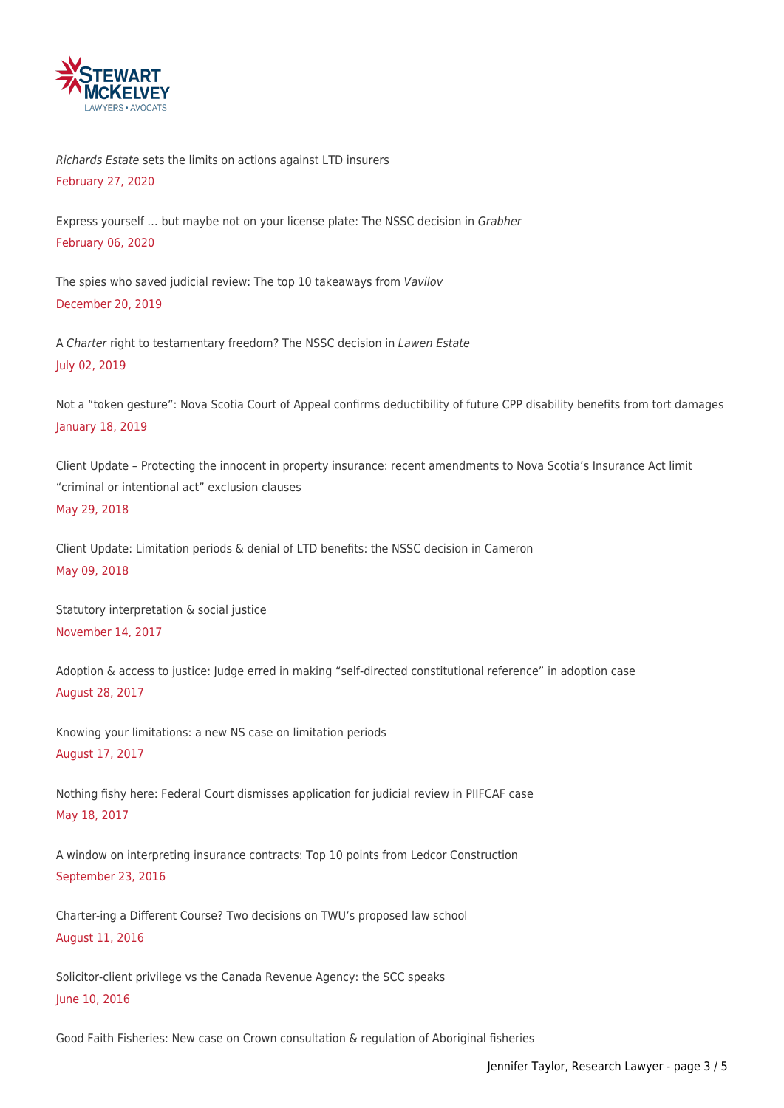

Richards Estate sets the limits on actions against LTD insurers February 27, 2020

Express yourself … but maybe not on your license plate: The NSSC decision in Grabher February 06, 2020

The spies who saved judicial review: The top 10 takeaways from Vavilov December 20, 2019

A Charter right to testamentary freedom? The NSSC decision in Lawen Estate July 02, 2019

Not a "token gesture": Nova Scotia Court of Appeal confirms deductibility of future CPP disability benefits from tort damages January 18, 2019

Client Update – Protecting the innocent in property insurance: recent amendments to Nova Scotia's Insurance Act limit "criminal or intentional act" exclusion clauses May 29, 2018

Client Update: Limitation periods & denial of LTD benefits: the NSSC decision in Cameron May 09, 2018

Statutory interpretation & social justice November 14, 2017

Adoption & access to justice: Judge erred in making "self-directed constitutional reference" in adoption case August 28, 2017

Knowing your limitations: a new NS case on limitation periods August 17, 2017

Nothing fishy here: Federal Court dismisses application for judicial review in PIIFCAF case May 18, 2017

A window on interpreting insurance contracts: Top 10 points from Ledcor Construction September 23, 2016

Charter-ing a Different Course? Two decisions on TWU's proposed law school August 11, 2016

Solicitor-client privilege vs the Canada Revenue Agency: the SCC speaks June 10, 2016

Good Faith Fisheries: New case on Crown consultation & regulation of Aboriginal fisheries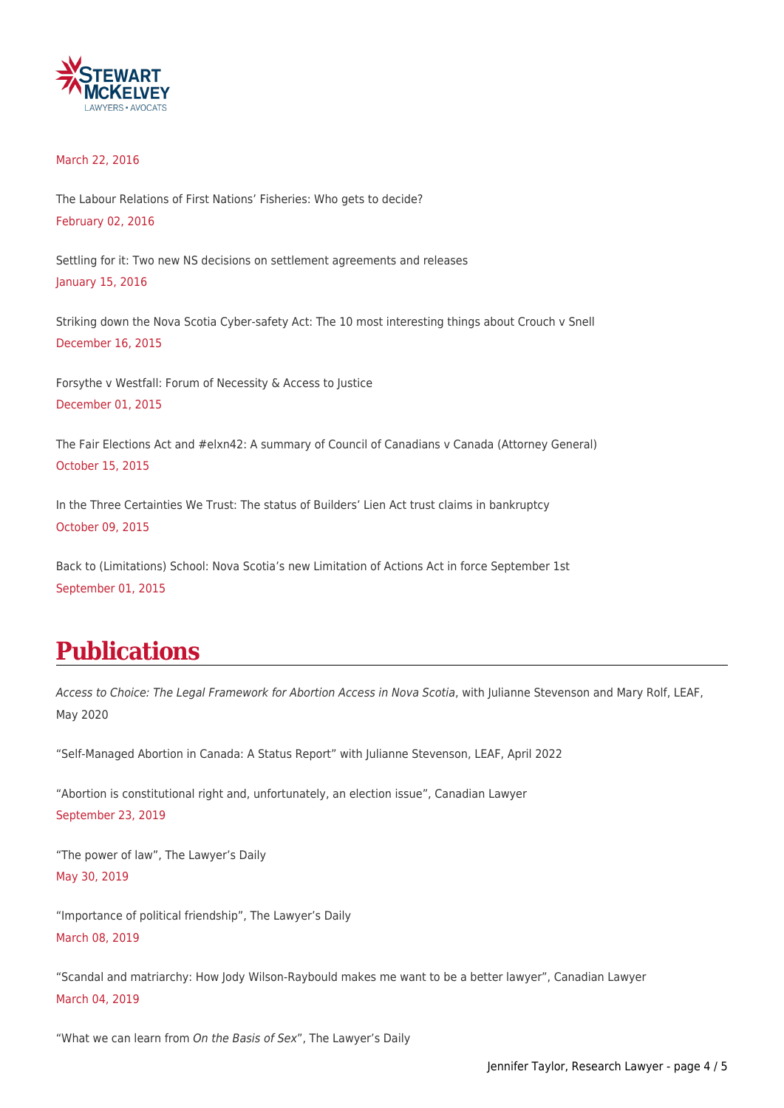

#### March 22, 2016

The Labour Relations of First Nations' Fisheries: Who gets to decide? February 02, 2016

Settling for it: Two new NS decisions on settlement agreements and releases January 15, 2016

Striking down the Nova Scotia Cyber-safety Act: The 10 most interesting things about Crouch v Snell December 16, 2015

Forsythe v Westfall: Forum of Necessity & Access to Justice December 01, 2015

The Fair Elections Act and #elxn42: A summary of Council of Canadians v Canada (Attorney General) October 15, 2015

In the Three Certainties We Trust: The status of Builders' Lien Act trust claims in bankruptcy October 09, 2015

Back to (Limitations) School: Nova Scotia's new Limitation of Actions Act in force September 1st September 01, 2015

## **Publications**

Access to Choice: The Legal Framework for Abortion Access in Nova Scotia, with Julianne Stevenson and Mary Rolf, LEAF, May 2020

"Self-Managed Abortion in Canada: A Status Report" with Julianne Stevenson, LEAF, April 2022

"Abortion is constitutional right and, unfortunately, an election issue", Canadian Lawyer September 23, 2019

"The power of law", The Lawyer's Daily May 30, 2019

"Importance of political friendship", The Lawyer's Daily March 08, 2019

"Scandal and matriarchy: How Jody Wilson-Raybould makes me want to be a better lawyer", Canadian Lawyer March 04, 2019

"What we can learn from On the Basis of Sex", The Lawyer's Daily